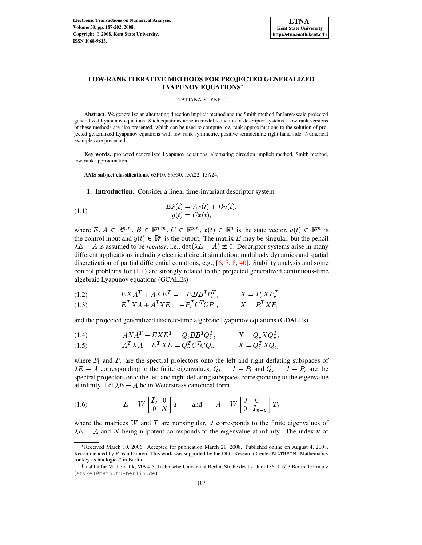

# **LOW-RANK ITERATIVE METHODS FOR PROJECTED GENERALIZED LYAPUNOV EQUATIONS**

#### <span id="page-0-0"></span>TATJANA STYKEL

**Abstract.** We generalize an alternating direction implicit method and the Smith method for large-scale projected generalized Lyapunov equations. Such equations arise in model reduction of descriptor systems. Low-rank versions of these methods are also presented, which can be used to compute low-rank approximations to the solution of projected generalized Lyapunov equations with low-rank symmetric, positive semidefinite right-hand side. Numerical examples are presented.

**Key words.** projected generalized Lyapunov equations, alternating direction implicit method, Smith method, low-rank approximation

**AMS subject classifications.** 65F10, 65F30, 15A22, 15A24,

**1. Introduction.** Consider a linear time-invariant descriptor system

(1.1) 
$$
E\dot{x}(t) = Ax(t) + Bu(t),
$$

$$
y(t) = Cx(t),
$$

where  $E, A \in \mathbb{R}^{n,n}, B \in \mathbb{R}^{n,m}, C \in \mathbb{R}^{p,n}, x(t) \in \mathbb{R}^{n}$  is the state vector,  $u(t) \in \mathbb{R}^{m}$  is the control input and  $y(t) \in \mathbb{R}^p$  is the output. The matrix E may be singular, but the pencil  $\lambda E - A$  is assumed to be *regular*, i.e.,  $\det(\lambda E - A) \neq 0$ . Descriptor systems arise in many different applications including electrical circuit simulation, multibody dynamics and spatial discretization of partial differential equations, e.g.,  $[6, 7, 8, 40]$  $[6, 7, 8, 40]$  $[6, 7, 8, 40]$  $[6, 7, 8, 40]$  $[6, 7, 8, 40]$  $[6, 7, 8, 40]$  $[6, 7, 8, 40]$ . Stability analysis and some control problems for  $(1.1)$  are strongly related to the projected generalized continuous-time algebraic Lyapunov equations (GCALEs)

<span id="page-0-2"></span>
$$
(1.2) \t\t EXAT + AXET = -PlBBTPlT, \t\t X = PrXPrT,
$$

$$
(1.3) \tE^T X A + A^T X E = -P_r^T C^T C P_r, \tX = P_l^T X P_l
$$

and the projected generalized discrete-time algebraic Lyapunov equations (GDALEs)

<span id="page-0-3"></span>
$$
(1.4) \tAX AT - EXET = Qi BBT QiT, \tX = Qr X QrT,
$$

$$
(1.5) \t\t A^T X A - E^T X E = Q_r^T C^T C Q_r, \t\t X = Q_l^T X Q_l,
$$

where  $P_l$  and  $P_r$  are the spectral projectors onto the left and right deflating subspaces of  $\lambda E - A$  corresponding to the finite eigenvalues,  $Q_l = I - P_l$  and  $Q_r = I - P_r$  are the spectral projectors onto the left and right deflating subspaces corresponding to the eigenvalue at infinity. Let  $\lambda E - A$  be in Weierstrass canonical form

<span id="page-0-1"></span>(1.6) 
$$
E = W \begin{bmatrix} I_q & 0 \\ 0 & N \end{bmatrix} T \quad \text{and} \quad A = W \begin{bmatrix} J & 0 \\ 0 & I_{n-q} \end{bmatrix} T,
$$

where the matrices  $W$  and  $T$  are nonsingular,  $J$  corresponds to the finite eigenvalues of  $\lambda E - A$  and N being nilpotent corresponds to the eigenvalue at infinity. The index  $\nu$  of

\_ Received March 10, 2006. Accepted for publication March 21, 2008. Published online on August 4, 2008. Recommended by P. Van Dooren. This work was supported by the DFG Research Center MATHEON "Mathematics for key technologies" in Berlin.

<sup>&</sup>lt;sup>†</sup> Institut für Mathematik, MA 4-5, Technische Universität Berlin, Straße des 17. Juni 136, 10623 Berlin, Germany (stykel@math.tu-berlin.de).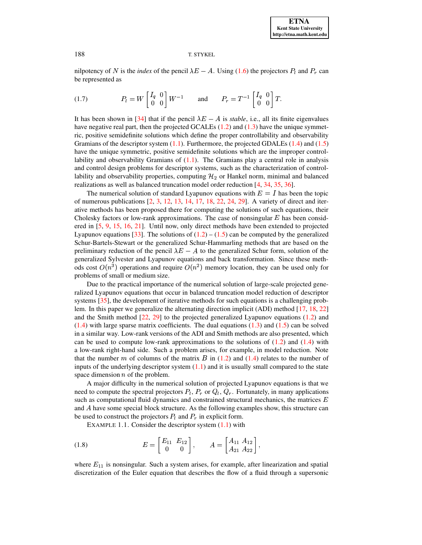<span id="page-1-1"></span>nilpotency of N is the *index* of the pencil  $\lambda E - A$ . Using [\(1.6\)](#page-0-1) the projectors  $P_l$  and  $P_r$  can be represented as

$$
(1.7) \t\t P_l = W \begin{bmatrix} I_q & 0 \\ 0 & 0 \end{bmatrix} W^{-1} \t \text{and} \t P_r = T^{-1} \begin{bmatrix} I_q & 0 \\ 0 & 0 \end{bmatrix} T.
$$

It has been shown in [\[34\]](#page-15-1) that if the pencil  $\lambda E - A$  is *stable*, i.e., all its finite eigenvalues have negative real part, then the projected GCALEs  $(1.2)$  and  $(1.3)$  have the unique symmetric, positive semidefinite solutions which define the proper controllability and observability Gramians of the descriptor system  $(1.1)$ . Furthermore, the projected GDALEs  $(1.4)$  and  $(1.5)$ have the unique symmetric, positive semidefinite solutions which are the improper controllability and observability Gramians of  $(1.1)$ . The Gramians play a central role in analysis and control design problems for descriptor systems, such as the characterization of controllability and observability properties, computing  $\mathcal{H}_2$  or Hankel norm, minimal and balanced realizations as well as balanced truncation model order reduction [\[4,](#page-13-0) [34,](#page-15-1) [35,](#page-15-2) [36\]](#page-15-3).

The numerical solution of standard Lyapunov equations with  $E = I$  has been the topic of numerous publications [\[2,](#page-13-1) [3,](#page-13-2) [12,](#page-14-3) [13,](#page-14-4) [14,](#page-14-5) [17,](#page-14-6) [18,](#page-14-7) [22,](#page-14-8) [24,](#page-14-9) [29\]](#page-15-4). A variety of direct and iterative methods has been proposed there for computing the solutions of such equations, their Cholesky factors or low-rank approximations. The case of nonsingular  $E$  has been considered in [\[5,](#page-13-3) [9,](#page-14-10) [15,](#page-14-11) [16,](#page-14-12) [21\]](#page-14-13). Until now, only direct methods have been extended to projected Lyapunov equations [\[33\]](#page-15-5). The solutions of  $(1.2) - (1.5)$  $(1.2) - (1.5)$  $(1.2) - (1.5)$  can be computed by the generalized Schur-Bartels-Stewart or the generalized Schur-Hammarling methods that are based on the preliminary reduction of the pencil  $\lambda E - A$  to the generalized Schur form, solution of the generalized Sylvester and Lyapunov equations and back transformation. Since these methods cost  $O(n^3)$  operations and require  $O(n^2)$  memory location, they can be used only for problems of small or medium size.

Due to the practical importance of the numerical solution of large-scale projected generalized Lyapunov equations that occur in balanced truncation model reduction of descriptor systems [\[35\]](#page-15-2), the development of iterative methods for such equations is a challenging problem. In this paper we generalize the alternating direction implicit (ADI) method [\[17,](#page-14-6) [18,](#page-14-7) [22\]](#page-14-8) and the Smith method [\[22,](#page-14-8) [29\]](#page-15-4) to the projected generalized Lyapunov equations [\(1.2\)](#page-0-2) and  $(1.4)$  with large sparse matrix coefficients. The dual equations  $(1.3)$  and  $(1.5)$  can be solved in a similar way. Low-rank versions of the ADI and Smith methods are also presented, which can be used to compute low-rank approximations to the solutions of  $(1.2)$  and  $(1.4)$  with a low-rank right-hand side. Such a problem arises, for example, in model reduction. Note that the number m of columns of the matrix B in  $(1.2)$  and  $(1.4)$  relates to the number of inputs of the underlying descriptor system  $(1.1)$  and it is usually small compared to the state space dimension  $n$  of the problem.

A major difficulty in the numerical solution of projected Lyapunov equations is that we need to compute the spectral projectors  $P_l$ ,  $P_r$  or  $Q_l$ ,  $Q_r$ . Fortunately, in many applications such as computational fluid dynamics and constrained structural mechanics, the matrices  $E$ and have some special block structure. As the following examples show, this structure can be used to construct the projectors  $P_l$  and  $P_r$  in explicit form.

<span id="page-1-0"></span>EXAMPLE 1.1. Consider the descriptor system  $(1.1)$  with

(1.8) 
$$
E = \begin{bmatrix} E_{11} & E_{12} \\ 0 & 0 \end{bmatrix}, \qquad A = \begin{bmatrix} A_{11} & A_{12} \\ A_{21} & A_{22} \end{bmatrix},
$$

where  $E_{11}$  is nonsingular. Such a system arises, for example, after linearization and spatial discretization of the Euler equation that describes the flow of a fluid through a supersonic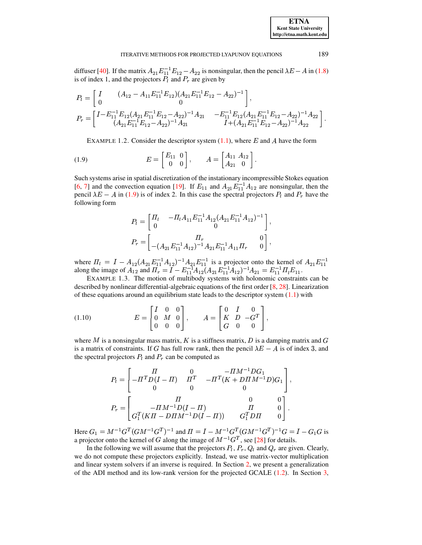diffuser [\[40\]](#page-15-0). If the matrix  $A_{21}E_{11}^{-1}E_{12}-A_{22}$  is nonsingular, then the pencil  $\lambda E - A$  in [\(1.8\)](#page-1-0) is of index 1, and the projectors  $P_l$  and  $P_r$  are given by

$$
\begin{split} P_l &= \left[ \begin{array}{cc} I & (A_{12}-A_{11}E_{11}^{-1}E_{12})(A_{21}E_{11}^{-1}E_{12}-A_{22})^{-1} \\ 0 & 0 \end{array} \right], \\ P_r &= \left[ \begin{array}{cc} I-E_{11}^{-1}E_{12}(A_{21}E_{11}^{-1}E_{12}-A_{22})^{-1}A_{21} & -E_{11}^{-1}E_{12}(A_{21}E_{11}^{-1}E_{12}-A_{22})^{-1}A_{22} \\ (A_{21}E_{11}^{-1}E_{12}-A_{22})^{-1}A_{21} & I+(A_{21}E_{11}^{-1}E_{12}-A_{22})^{-1}A_{22} \end{array} \right]. \end{split}
$$

EXAMPLE 1.2. Consider the descriptor system  $(1.1)$ , where E and A have the form

(1.9) 
$$
E = \begin{bmatrix} E_{11} & 0 \\ 0 & 0 \end{bmatrix}, \qquad A = \begin{bmatrix} A_{11} & A_{12} \\ A_{21} & 0 \end{bmatrix}.
$$

Such systems arise in spatial discretization of the instationary incompressible Stokes equation [\[6,](#page-14-0) [7\]](#page-14-1) and the convection equation [\[19\]](#page-14-14). If  $E_{11}$  and  $A_{21}E_{11}^{-1}A_{12}$  are nonsingular, then the pencil  $\lambda E - A$  in [\(1.9\)](#page-2-0) is of index 2. In this case the spectral projectors  $P_l$  and  $P_r$  have the following form

<span id="page-2-1"></span>
$$
P_l = \begin{bmatrix} \Pi_l & -\Pi_l A_{11} E_{11}^{-1} A_{12} (A_{21} E_{11}^{-1} A_{12})^{-1} \\ 0 & 0 \end{bmatrix},
$$
  
\n
$$
P_r = \begin{bmatrix} \Pi_r & 0 \\ -(A_{21} E_{11}^{-1} A_{12})^{-1} A_{21} E_{11}^{-1} A_{11} \Pi_r & 0 \end{bmatrix},
$$

where  $\Pi_l = I - A_{12}(A_{21}E_{11}^{-1}A_{12})^{-1}A_{21}E_{11}^{-1}$  is a projector onto the kernel of  $A_{21}E_{11}^{-1}$ <br>along the image of  $A_{12}$  and  $\Pi_r = I - E_{11}^{-1}A_{12}(A_{21}E_{11}^{-1}A_{12})^{-1}A_{21} = E_{11}^{-1}\Pi_lE_{11}$ .  $E_{11}$ .

EXAMPLE 1.3. The motion of multibody systems with holonomic constraints can be described by nonlinear differential-algebraic equations of the first order [\[8,](#page-14-2) [28\]](#page-15-6). Linearization of these equations around an equilibrium state leads to the descriptor system  $(1.1)$  with

(1.10) 
$$
E = \begin{bmatrix} I & 0 & 0 \\ 0 & M & 0 \\ 0 & 0 & 0 \end{bmatrix}, \qquad A = \begin{bmatrix} 0 & I & 0 \\ K & D & -G^T \\ G & 0 & 0 \end{bmatrix},
$$

where M is a nonsingular mass matrix, K is a stiffness matrix, D is a damping matrix and G is a matrix of constraints. If G has full row rank, then the pencil  $\lambda E - A$  is of index 3, and the spectral projectors  $P_l$  and  $P_r$  can be computed as

$$
P_l = \begin{bmatrix} \n\Pi & 0 & -\Pi M^{-1} D G_1 \\ \n-\Pi^T D (I - \Pi) & \Pi^T & -\Pi^T (K + D \Pi M^{-1} D) G_1 \\ \n0 & 0 & 0 \n\end{bmatrix},
$$
  
\n
$$
P_r = \begin{bmatrix} \n\Pi & 0 & 0 \\ \n-\Pi M^{-1} D (I - \Pi) & \Pi & 0 \\ \nG_1^T (K \Pi - D \Pi M^{-1} D (I - \Pi)) & G_1^T D \Pi & 0 \n\end{bmatrix}.
$$

Here  $G_1 = M^{-1}G^T(GM^{-1}G^T)^{-1}$  and  $\Pi = I - M^{-1}G^T(GM^{-1}G^T)^{-1}G = I - G_1G$  is a projector onto the kernel of G along the image of  $M^{-1}G^{T}$ , see [\[28\]](#page-15-6) for details.

In the following we will assume that the projectors  $P_l$ ,  $P_r$ ,  $Q_l$  and  $Q_r$  are given. Clearly, we do not compute these projectors explicitly. Instead, we use matrix-vector multiplication and linear system solvers if an inverse is required. In Section [2,](#page-3-0) we present a generalization of the ADI method and its low-rank version for the projected GCALE [\(1.2\)](#page-0-2). In Section [3,](#page-8-0)

<span id="page-2-0"></span>

**ETNA Kent State University http://etna.math.kent.edu**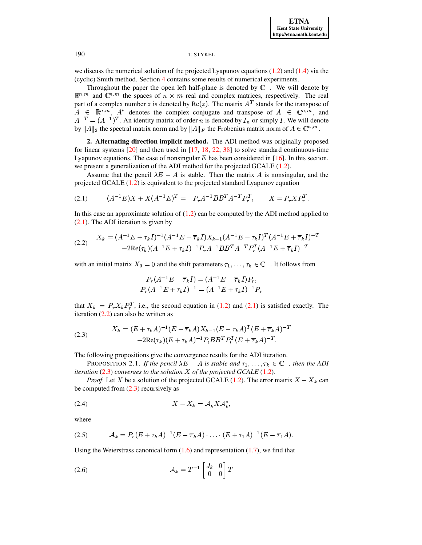we discuss the numerical solution of the projected Lyapunov equations [\(1.2\)](#page-0-2) and [\(1.4\)](#page-0-3) via the (cyclic) Smith method. Section [4](#page-10-0) contains some results of numerical experiments.

Throughout the paper the open left half-plane is denoted by  $\mathbb{C}^-$ . We will denote by  $\mathbb{R}^{n,m}$  and  $\mathbb{C}^{n,m}$  the spaces of  $n \times m$  real and complex matrices, respectively. The real part of a complex number z is denoted by  $Re(z)$ . The matrix  $A<sup>T</sup>$  stands for the transpose of  $A \in \mathbb{R}^{n,m}$ ,  $A^*$  denotes the complex conjugate and transpose of  $A \in \mathbb{C}^{n,m}$ , and  $A^{-T} = (A^{-1})^T$ . An identity matrix of order *n* is denoted by  $I_n$  or simply *I*. We will denote by  $||A||_2$  the spectral matrix norm and by  $||A||_F$  the Frobenius matrix norm of  $A \in \mathbb{C}^{n,m}$ .

<span id="page-3-0"></span>**2. Alternating direction implicit method.** The ADI method was originally proposed for linear systems [\[20\]](#page-14-15) and then used in [\[17,](#page-14-6) [18,](#page-14-7) [22,](#page-14-8) [38\]](#page-15-7) to solve standard continuous-time Lyapunov equations. The case of nonsingular  $E$  has been considered in [\[16\]](#page-14-12). In this section, we present a generalization of the ADI method for the projected GCALE [\(1.2\)](#page-0-2).

Assume that the pencil  $\lambda E - A$  is stable. Then the matrix A is nonsingular, and the projected GCALE [\(1.2\)](#page-0-2) is equivalent to the projected standard Lyapunov equation

(2.1) 
$$
(A^{-1}E)X + X(A^{-1}E)^{T} = -P_{r}A^{-1}BB^{T}A^{-T}P_{r}^{T}, \qquad X = P_{r}XP_{r}^{T}.
$$

<span id="page-3-2"></span>In this case an approximate solution of  $(1.2)$  can be computed by the ADI method applied to [\(2.1\)](#page-3-1). The ADI iteration is given by

$$
(2.2) \quad\n\begin{aligned}\nX_k &= (A^{-1}E + \tau_k I)^{-1} (A^{-1}E - \overline{\tau}_k I) X_{k-1} (A^{-1}E - \tau_k I)^T (A^{-1}E + \overline{\tau}_k I)^{-T} \\
&- 2\text{Re}(\tau_k) (A^{-1}E + \tau_k I)^{-1} P_r A^{-1} B B^T A^{-T} P_r^T (A^{-1}E + \overline{\tau}_k I)^{-T}\n\end{aligned}
$$

with an initial matrix  $X_0 = 0$  and the shift parameters  $\tau_1, \ldots, \tau_k \in \mathbb{C}^-$ . It follows from

<span id="page-3-3"></span><span id="page-3-1"></span>
$$
P_r(A^{-1}E - \overline{\tau}_k I) = (A^{-1}E - \overline{\tau}_k I)P_r,
$$
  

$$
P_r(A^{-1}E + \tau_k I)^{-1} = (A^{-1}E + \tau_k I)^{-1}P_r
$$

that  $X_k = P_r X_k P_r^T$ , i.e., the second equation in [\(1.2\)](#page-0-2) and [\(2.1\)](#page-3-1) is satisfied exactly. The iteration  $(2.2)$  can also be written as

(2.3) 
$$
X_k = (E + \tau_k A)^{-1} (E - \overline{\tau}_k A) X_{k-1} (E - \tau_k A)^T (E + \overline{\tau}_k A)^{-T}
$$

$$
-2\text{Re}(\tau_k) (E + \tau_k A)^{-1} P_t B B^T P_t^T (E + \overline{\tau}_k A)^{-T}.
$$

The following propositions give the convergence results for the ADI iteration.

PROPOSITION 2.1. If the pencil  $\lambda E - A$  is stable and  $\tau_1, \ldots, \tau_k \in \mathbb{C}^-$ , then the ADI *iteration* [\(2.3\)](#page-3-3) *converges to the solution*  $X$  *of the projected GCALE* [\(1.2\)](#page-0-2)*.* 

<span id="page-3-5"></span>*Proof.* Let X be a solution of the projected GCALE [\(1.2\)](#page-0-2). The error matrix  $X - X_k$  can be computed from [\(2.3\)](#page-3-3) recursively as

$$
(2.4) \t\t X - X_k = \mathcal{A}_k X \mathcal{A}_k^*,
$$

<span id="page-3-4"></span>where

(2.5) 
$$
\mathcal{A}_k = P_r(E + \tau_k A)^{-1} (E - \overline{\tau}_k A) \cdot \ldots \cdot (E + \tau_1 A)^{-1} (E - \overline{\tau}_1 A).
$$

<span id="page-3-6"></span>Using the Weierstrass canonical form  $(1.6)$  and representation  $(1.7)$ , we find that

$$
(2.6) \t\t \mathcal{A}_k = T^{-1} \begin{bmatrix} J_k & 0 \\ 0 & 0 \end{bmatrix} T
$$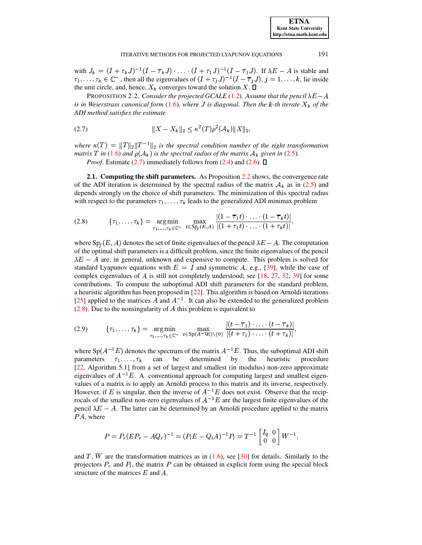with  $J_k = (I + \tau_k J)^{-1} (I - \overline{\tau}_k J) \cdot \ldots \cdot (I + \tau_1 J)^{-1} (I - \overline{\tau}_1 J)$ . If  $\lambda E - A$  is stable and  $\tau_1,\ldots,\tau_k\in\mathbb{C}^-$ , then all the eigenvalues of  $(I+\tau_jJ)^{-1}(I-\overline{\tau}_jJ), j=1,\ldots,k$ , lie inside the unit circle, and, hence,  $X_k$  converges toward the solution X.  $\square$ 

<span id="page-4-0"></span>**PROPOSITION 2.2.** Consider the projected GCALE (1.2). Assume that the pencil  $\lambda E - A$ is in Weierstrass canonical form (1.6), where J is diagonal. Then the k-th iterate  $X_k$  of the ADI method satisfies the estimate

$$
(2.7) \t\t\t ||X - X_k||_2 \le \kappa^2(T)\rho^2(\mathcal{A}_k) ||X||_2,
$$

where  $\kappa(T) = ||T||_2||T^{-1}||_2$  is the spectral condition number of the right transformation matrix T in (1.6) and  $\rho(A_k)$  is the spectral radius of the matrix  $A_k$  given in (2.5).

*Proof.* Estimate (2.7) immediately follows from (2.4) and (2.6).  $\Box$ 

<span id="page-4-2"></span>2.1. Computing the shift parameters. As Proposition 2.2 shows, the convergence rate of the ADI iteration is determined by the spectral radius of the matrix  $A_k$  as in (2.5) and depends strongly on the choice of shift parameters. The minimization of this spectral radius with respect to the parameters  $\tau_1, \ldots, \tau_k$  leads to the generalized ADI minimax problem

(2.8) 
$$
\{\tau_1, \ldots, \tau_k\} = \underset{\tau_1, \ldots, \tau_k \in \mathbb{C}^-}{\arg \min} \max_{t \in \mathbb{S}^T} \frac{|(1 - \overline{\tau}_1 t) \cdot \ldots \cdot (1 - \overline{\tau}_k t)|}{|(1 + \tau_1 t) \cdot \ldots \cdot (1 + \tau_k t)|},
$$

where Sp<sub>f</sub> (E, A) denotes the set of finite eigenvalues of the pencil  $\lambda E - A$ . The computation of the optimal shift parameters is a difficult problem, since the finite eigenvalues of the pencil  $\lambda E - A$  are, in general, unknown and expensive to compute. This problem is solved for standard Lyapunov equations with  $E = I$  and symmetric A, e.g., [39], while the case of complex eigenvalues of A is still not completely understood; see [18, 27, 32, 39] for some contributions. To compute the suboptimal ADI shift parameters for the standard problem, a heuristic algorithm has been proposed in  $[22]$ . This algorithm is based on Arnoldi iterations [25] applied to the matrices A and  $A^{-1}$ . It can also be extended to the generalized problem  $(2.8)$ . Due to the nonsingularity of A this problem is equivalent to

(2.9) 
$$
\{\tau_1, \ldots, \tau_k\} = \underset{\tau_1, \ldots, \tau_k \in \mathbb{C}^-}{\arg \min} \max_{t \in \text{Sp}(A^{-1}E) \setminus \{0\}} \frac{|(t - \overline{\tau}_1) \cdot \ldots \cdot (t - \overline{\tau}_k)|}{|(t + \tau_1) \cdot \ldots \cdot (t + \tau_k)|},
$$

where  $Sp(A^{-1}E)$  denotes the spectrum of the matrix  $A^{-1}E$ . Thus, the suboptimal ADI shift determined by the parameters  $\tau_1, \ldots, \tau_k$ can be heuristic procedure [22, Algorithm 5.1] from a set of largest and smallest (in modulus) non-zero approximate eigenvalues of  $A^{-1}E$ . A conventional approach for computing largest and smallest eigenvalues of a matrix is to apply an Arnoldi process to this matrix and its inverse, respectively. However, if E is singular, then the inverse of  $A^{-1}E$  does not exist. Observe that the reciprocals of the smallest non-zero eigenvalues of  $A^{-1}E$  are the largest finite eigenvalues of the pencil  $\lambda E - A$ . The latter can be determined by an Arnoldi procedure applied to the matrix  $PA$ , where

$$
P = P_r (E P_r - A Q_r)^{-1} = (P_l E - Q_l A)^{-1} P_l = T^{-1} \begin{bmatrix} I_q & 0 \\ 0 & 0 \end{bmatrix} W^{-1},
$$

and T, W are the transformation matrices as in  $(1.6)$ , see [30] for details. Similarly to the projectors  $P_r$  and  $P_l$ , the matrix P can be obtained in explicit form using the special block structure of the matrices  $E$  and  $A$ .

<span id="page-4-1"></span>191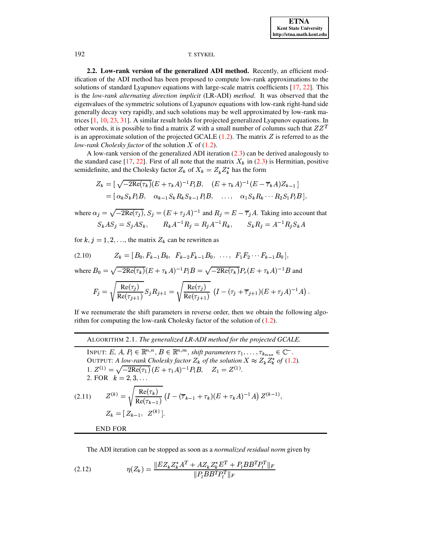2.2. Low-rank version of the generalized ADI method. Recently, an efficient modification of the ADI method has been proposed to compute low-rank approximations to the solutions of standard Lyapunov equations with large-scale matrix coefficients [17, 22]. This is the low-rank alternating direction implicit (LR-ADI) method. It was observed that the eigenvalues of the symmetric solutions of Lyapunov equations with low-rank right-hand side generally decay very rapidly, and such solutions may be well approximated by low-rank matrices  $[1, 10, 23, 31]$ . A similar result holds for projected generalized Lyapunov equations. In other words, it is possible to find a matrix Z with a small number of columns such that  $ZZ<sup>T</sup>$ is an approximate solution of the projected GCALE  $(1.2)$ . The matrix Z is referred to as the low-rank Cholesky factor of the solution X of  $(1.2)$ .

A low-rank version of the generalized ADI iteration (2.3) can be derived analogously to the standard case [17, 22]. First of all note that the matrix  $X_k$  in (2.3) is Hermitian, positive semidefinite, and the Cholesky factor  $Z_k$  of  $X_k = Z_k Z_k^*$  has the form

$$
Z_k = [\sqrt{-2\text{Re}(\tau_k)}(E + \tau_k A)^{-1} P_l B, (E + \tau_k A)^{-1} (E - \overline{\tau}_k A) Z_{k-1}]
$$
  
= [\alpha\_k S\_k P\_l B, \alpha\_{k-1} S\_k R\_k S\_{k-1} P\_l B, ..., \alpha\_1 S\_k R\_k \cdots R\_2 S\_1 P\_l B],

where  $\alpha_j = \sqrt{-2\text{Re}(\tau_j)}$ ,  $S_j = (E + \tau_j A)^{-1}$  and  $R_j = E - \overline{\tau}_j A$ . Taking into account that  $S_kAS_j = S_jAS_k$ ,  $R_kA^{-1}R_j = R_jA^{-1}R_k$ ,  $S_kR_j = A^{-1}R_jS_kA$ 

for k,  $j = 1, 2, \dots$ , the matrix  $Z_k$  can be rewritten as

$$
(2.10) \t Zk = [B0, Fk-1B0, Fk-2Fk-1B0, ..., F1F2...Fk-1B0],
$$

where  $B_0 = \sqrt{-2\text{Re}(\tau_k)}(E + \tau_k A)^{-1}PB = \sqrt{-2\text{Re}(\tau_k)}P_r(E + \tau_k A)^{-1}B$  and

<span id="page-5-0"></span>
$$
F_j = \sqrt{\frac{\text{Re}(\tau_j)}{\text{Re}(\tau_{j+1})}} S_j R_{j+1} = \sqrt{\frac{\text{Re}(\tau_j)}{\text{Re}(\tau_{j+1})}} \left( I - (\tau_j + \overline{\tau}_{j+1}) (E + \tau_j A)^{-1} A \right).
$$

If we reenumerate the shift parameters in reverse order, then we obtain the following algorithm for computing the low-rank Cholesky factor of the solution of  $(1.2)$ .

ALGORITHM 2.1. The generalized LR-ADI method for the projected GCALE.

<span id="page-5-1"></span>INPUT: E, A,  $P_l \in \mathbb{R}^{n,n}$ ,  $B \in \mathbb{R}^{n,m}$ , shift parameters  $\tau_1, \ldots, \tau_{k_{\max}} \in \mathbb{C}^{-}$ . OUTPUT: A low-rank Cholesky factor  $Z_k$  of the solution  $X \approx Z_k Z_k^*$  of (1.2). 1.  $Z^{(1)} = \sqrt{-2\text{Re}(\tau_1)} (E + \tau_1 A)^{-1} P_l B$ ,  $Z_1 = Z^{(1)}$ . 2. FOR  $k = 2, 3, ...$  $Z^{(k)} = \sqrt{\frac{\text{Re}(\tau_k)}{\text{Re}(\tau_{k-1})}} \left(I - (\overline{\tau}_{k-1} + \tau_k)(E + \tau_k A)^{-1} A\right) Z^{(k-1)},$  $(2.11)$  $Z_k = [Z_{k-1}, Z^{(k)}].$ **END FOR** 

<span id="page-5-2"></span>The ADI iteration can be stopped as soon as a normalized residual norm given by

(2.12) 
$$
\eta(Z_k) = \frac{\|EZ_k Z_k^* A^T + AZ_k Z_k^* E^T + P_l BB^T P_l^T\|_F}{\|P_l BB^T P_l^T\|_F}
$$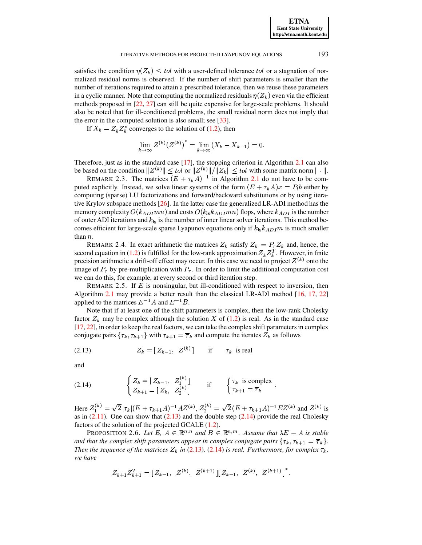satisfies the condition  $\eta(Z_k) \leq tol$  with a user-defined tolerance tol or a stagnation of normalized residual norms is observed. If the number of shift parameters is smaller than the number of iterations required to attain a prescribed tolerance, then we reuse these parameters in a cyclic manner. Note that computing the normalized residuals  $\eta(Z_k)$  even via the efficient methods proposed in [\[22,](#page-14-8) [27\]](#page-15-9) can still be quite expensive for large-scale problems. It should also be noted that for ill-conditioned problems, the small residual norm does not imply that the error in the computed solution is also small; see [\[33\]](#page-15-5).

If  $X_k = Z_k Z_k^*$  converges to the solution of [\(1.2\)](#page-0-2), then

$$
\lim_{k \to \infty} Z^{(k)}(Z^{(k)})^* = \lim_{k \to \infty} (X_k - X_{k-1}) = 0.
$$

Therefore, just as in the standard case [\[17\]](#page-14-6), the stopping criterion in Algorithm [2.1](#page-5-0) can also be based on the condition  $||Z^{(k)}|| \leq tol$  or  $||Z^{(k)}||/||Z_k|| \leq tol$  with some matrix norm  $|| \cdot ||$ .

REMARK 2.3. The matrices  $(E + \tau_k A)^{-1}$  in Algorithm [2.1](#page-5-0) do not have to be computed explicitly. Instead, we solve linear systems of the form  $(E + \tau_k A)x = P_i b$  either by computing (sparse) LU factorizations and forward/backward substitutions or by using iterative Krylov subspace methods [\[26\]](#page-15-13). In the latter case the generalized LR-ADI method has the memory complexity  $O(k_{ADI}mn)$  and costs  $O(k_{1s}k_{ADI}mn)$  flops, where  $k_{ADI}$  is the number of outer ADI iterations and  $k_{ls}$  is the number of inner linear solver iterations. This method becomes efficient for large-scale sparse Lyapunov equations only if  $k_{18}k_{ADI}m$  is much smaller than  $n$ .

REMARK 2.4. In exact arithmetic the matrices  $Z_k$  satisfy  $Z_k = P_r Z_k$  and, hence, the second equation in [\(1.2\)](#page-0-2) is fulfilled for the low-rank approximation  $Z_k Z_k^T$ . However, in finite precision arithmetic a drift-off effect may occur. In this case we need to project  $Z^{(k)}$  onto the image of  $P_r$  by pre-multiplication with  $P_r$ . In order to limit the additional computation cost we can do this, for example, at every second or third iteration step.

REMARK 2.5. If  $E$  is nonsingular, but ill-conditioned with respect to inversion, then Algorithm [2.1](#page-5-0) may provide a better result than the classical LR-ADI method [\[16,](#page-14-12) [17,](#page-14-6) [22\]](#page-14-8) applied to the matrices  $E^{-1}A$  and  $E^{-1}B$ .

Note that if at least one of the shift parameters is complex, then the low-rank Cholesky factor  $Z_k$  may be complex although the solution X of [\(1.2\)](#page-0-2) is real. As in the standard case [\[17,](#page-14-6) [22\]](#page-14-8), in order to keep the real factors, we can take the complex shift parameters in complex conjugate pairs  $\{\tau_k, \tau_{k+1}\}$  with  $\tau_{k+1} = \overline{\tau}_k$  and compute the iterates  $Z_k$  as follows

<span id="page-6-0"></span>(2.13) 
$$
Z_k = [Z_{k-1}, Z^{(k)}] \quad \text{if} \quad \tau_k \text{ is real}
$$

<span id="page-6-1"></span>and

(2.14) 
$$
\begin{cases} Z_k = [Z_{k-1}, Z_1^{(k)}] \\ Z_{k+1} = [Z_k, Z_2^{(k)}] \end{cases}
$$
 if  $\begin{cases} \tau_k \text{ is complex} \\ \tau_{k+1} = \overline{\tau}_k \end{cases}$ .

Here  $Z_1^{(k)} = \sqrt{2} |\tau_k| (E + \tau_{k+1} A)^{-1} A Z^{(k)}$ ,  $Z_2^{(k)} = \sqrt{2} (E + \tau_{k+1} A)^{-1} E Z^{(k)}$  and  $Z^{(k)}$  is as in (2.11). One can show that (2.13) and the double step (2.14) provide the real Cholesky as in  $(2.11)$ . One can show that  $(2.13)$  and the double step  $(2.14)$  provide the real Cholesky factors of the solution of the projected GCALE [\(1.2\)](#page-0-2).

PROPOSITION 2.6. Let E,  $A \in \mathbb{R}^{n,n}$  and  $B \in \mathbb{R}^{n,m}$ . Assume that  $\lambda E - A$  is stable and that the complex shift parameters appear in complex conjugate pairs  $\{\tau_k, \tau_{k+1} = \overline{\tau}_k\}$ . *Then the sequence of the matrices*  $Z_k$  *in* [\(2.13\)](#page-6-0), [\(2.14\)](#page-6-1) *is real. Furthermore, for complex*  $\tau_k$ , *we have*

$$
Z_{k+1}Z_{k+1}^T = \begin{bmatrix} Z_{k-1}, & Z^{(k)}, & Z^{(k+1)} \end{bmatrix} \begin{bmatrix} Z_{k-1}, & Z^{(k)}, & Z^{(k+1)} \end{bmatrix}^*.
$$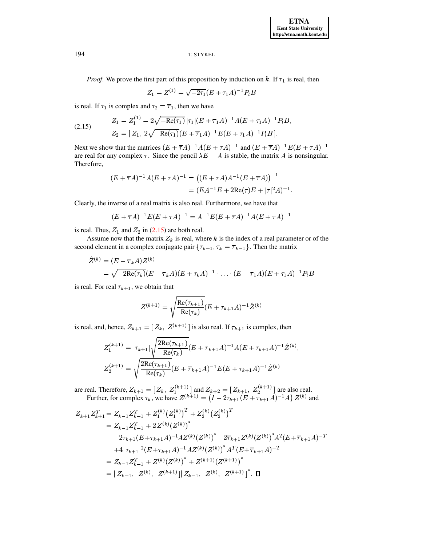**ETNA Kent State University http://etna.math.kent.edu**

## 194 T. STYKEL

*Proof.* We prove the first part of this proposition by induction on  $k$ . If  $\tau_1$  is real, then

<span id="page-7-0"></span>
$$
Z_1 = Z^{(1)} = \sqrt{-2\tau_1} (E + \tau_1 A)^{-1} P_l B
$$

is real. If  $\tau_1$  is complex and  $\tau_2 = \overline{\tau}_1$ , then we have

(2.15) 
$$
Z_1 = Z_1^{(1)} = 2\sqrt{-\text{Re}(\tau_1)} |\tau_1| (E + \overline{\tau}_1 A)^{-1} A (E + \tau_1 A)^{-1} P_l B,
$$

$$
Z_2 = [Z_1, 2\sqrt{-\text{Re}(\tau_1)} (E + \overline{\tau}_1 A)^{-1} E (E + \tau_1 A)^{-1} P_l B].
$$

Next we show that the matrices  $(E + \overline{\tau}A)^{-1}A(E + \tau A)^{-1}$  and  $(E + \overline{\tau}A)^{-1}E(E + \tau A)^{-1}$ are real for any complex  $\tau$ . Since the pencil  $\lambda E - A$  is stable, the matrix A is nonsingular. Therefore,

$$
(E + \overline{\tau}A)^{-1}A(E + \tau A)^{-1} = ((E + \tau A)A^{-1}(E + \overline{\tau}A))^{-1}
$$
  
=  $(EA^{-1}E + 2\text{Re}(\tau)E + |\tau|^2 A)^{-1}.$ 

Clearly, the inverse of a real matrix is also real. Furthermore, we have that

$$
(E + \overline{\tau}A)^{-1}E(E + \tau A)^{-1} = A^{-1}E(E + \overline{\tau}A)^{-1}A(E + \tau A)^{-1}
$$

is real. Thus,  $Z_1$  and  $Z_2$  in [\(2.15\)](#page-7-0) are both real.

Assume now that the matrix  $Z_k$  is real, where k is the index of a real parameter or of the second element in a complex conjugate pair  $\{\tau_{k-1}, \tau_k = \overline{\tau}_{k-1}\}\.$  Then the matrix

$$
\hat{Z}^{(k)} = (E - \overline{\tau}_k A) Z^{(k)} \n= \sqrt{-2\text{Re}(\tau_k)} (E - \overline{\tau}_k A) (E + \tau_k A)^{-1} \cdot \ldots \cdot (E - \overline{\tau}_1 A) (E + \tau_1 A)^{-1} P_l B
$$

is real. For real  $\tau_{k+1}$ , we obtain that

$$
Z^{(k+1)} = \sqrt{\frac{\text{Re}(\tau_{k+1})}{\text{Re}(\tau_k)}} (E + \tau_{k+1} A)^{-1} \hat{Z}^{(k)}
$$

is real, and, hence,  $Z_{k+1} = [Z_k, Z^{(k+1)}]$  is also real. If  $\tau_{k+1}$  is complex, then

$$
Z_1^{(k+1)} = |\tau_{k+1}| \sqrt{\frac{2\text{Re}(\tau_{k+1})}{\text{Re}(\tau_k)}} (E + \overline{\tau}_{k+1} A)^{-1} A (E + \tau_{k+1} A)^{-1} \hat{Z}^{(k)},
$$
  

$$
Z_2^{(k+1)} = \sqrt{\frac{2\text{Re}(\tau_{k+1})}{\text{Re}(\tau_k)}} (E + \overline{\tau}_{k+1} A)^{-1} E (E + \tau_{k+1} A)^{-1} \hat{Z}^{(k)}
$$

are real. Therefore,  $Z_{k+1} = [Z_k, Z_1^{(k+1)}]$  and  $Z_{k+2} = [Z_{k+1}, Z_2^{(k+1)}]$  are also real. Further, for complex  $\tau_k$ , we have  $Z^{(k+1)} = (I - 2\tau_{k+1}(E + \tau_{k+1}A)^{-1}A) Z^{(k)}$  and

$$
Z_{k+1}Z_{k+1}^T = Z_{k-1}Z_{k-1}^T + Z_1^{(k)} (Z_1^{(k)})^T + Z_2^{(k)} (Z_2^{(k)})^T
$$
  
\n
$$
= Z_{k-1}Z_{k-1}^T + 2 Z^{(k)} (Z^{(k)})^*
$$
  
\n
$$
-2\tau_{k+1} (E + \tau_{k+1} A)^{-1} A Z^{(k)} (Z^{(k)})^* - 2\overline{\tau}_{k+1} Z^{(k)} (Z^{(k)})^* A^T (E + \overline{\tau}_{k+1} A)^{-T}
$$
  
\n
$$
+ 4|\tau_{k+1}|^2 (E + \tau_{k+1} A)^{-1} A Z^{(k)} (Z^{(k)})^* A^T (E + \overline{\tau}_{k+1} A)^{-T}
$$
  
\n
$$
= Z_{k-1}Z_{k-1}^T + Z^{(k)} (Z^{(k)})^* + Z^{(k+1)} (Z^{(k+1)})^*
$$
  
\n
$$
= [Z_{k-1}, Z^{(k)}, Z^{(k+1)}] [Z_{k-1}, Z^{(k)}, Z^{(k+1)}]^{*} . \Box
$$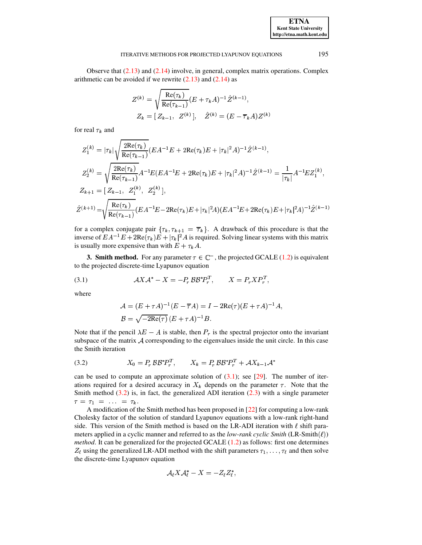Observe that  $(2.13)$  and  $(2.14)$  involve, in general, complex matrix operations. Complex arithmetic can be avoided if we rewrite  $(2.13)$  and  $(2.14)$  as

$$
Z^{(k)} = \sqrt{\frac{\text{Re}(\tau_k)}{\text{Re}(\tau_{k-1})}} (E + \tau_k A)^{-1} \hat{Z}^{(k-1)},
$$
  

$$
Z_k = [Z_{k-1}, Z^{(k)}], \quad \hat{Z}^{(k)} = (E - \overline{\tau}_k A) Z^{(k)}
$$

for real  $\tau_k$  and

$$
Z_1^{(k)} = |\tau_k| \sqrt{\frac{2\text{Re}(\tau_k)}{\text{Re}(\tau_{k-1})}} (EA^{-1}E + 2\text{Re}(\tau_k)E + |\tau_k|^2 A)^{-1} \hat{Z}^{(k-1)},
$$
  
\n
$$
Z_2^{(k)} = \sqrt{\frac{2\text{Re}(\tau_k)}{\text{Re}(\tau_{k-1})}} A^{-1} E(EA^{-1}E + 2\text{Re}(\tau_k)E + |\tau_k|^2 A)^{-1} \hat{Z}^{(k-1)} = \frac{1}{|\tau_k|} A^{-1} E Z_1^{(k)},
$$
  
\n
$$
Z_{k+1} = [Z_{k-1}, Z_1^{(k)}, Z_2^{(k)}],
$$
  
\n
$$
\hat{Z}^{(k+1)} = \sqrt{\frac{\text{Re}(\tau_k)}{\text{Re}(\tau_{k-1})}} (EA^{-1}E - 2\text{Re}(\tau_k)E + |\tau_k|^2 A) (EA^{-1}E + 2\text{Re}(\tau_k)E + |\tau_k|^2 A)^{-1} \hat{Z}^{(k-1)}
$$

for a complex conjugate pair  $\{\tau_k, \tau_{k+1} = \overline{\tau}_k\}$ . A drawback of this procedure is that the inverse of  $EA^{-1}E + 2Re(\tau_k)E + |\tau_k|^2 A$  is required. Solving linear systems with this matrix is usually more expensive than with  $E + \tau_k A$ .

<span id="page-8-0"></span>**3. Smith method.** For any parameter  $\tau \in \mathbb{C}^-$ , the projected GCALE (1.2) is equivalent to the projected discrete-time Lyapunov equation

$$
(3.1) \t\t \tAX \mathcal{A}^* - X = -P_r \mathcal{B} \mathcal{B}^* P_r^T, \t\t X = P_r X P_r^T,
$$

where

<span id="page-8-1"></span>
$$
A = (E + \tau A)^{-1} (E - \overline{\tau}A) = I - 2\text{Re}(\tau) (E + \tau A)^{-1} A,
$$
  

$$
B = \sqrt{-2\text{Re}(\tau)} (E + \tau A)^{-1} B.
$$

Note that if the pencil  $\lambda E - A$  is stable, then  $P_r$  is the spectral projector onto the invariant subspace of the matrix  $A$  corresponding to the eigenvalues inside the unit circle. In this case the Smith iteration

<span id="page-8-2"></span>
$$
(3.2) \tX_0 = P_r \mathcal{B} \mathcal{B}^* P_r^T, \tX_k = P_r \mathcal{B} \mathcal{B}^* P_r^T + \mathcal{A} X_{k-1} \mathcal{A}^*
$$

can be used to compute an approximate solution of  $(3.1)$ ; see [29]. The number of iterations required for a desired accuracy in  $X_k$  depends on the parameter  $\tau$ . Note that the Smith method  $(3.2)$  is, in fact, the generalized ADI iteration  $(2.3)$  with a single parameter  $\tau = \tau_1 = \ldots = \tau_k.$ 

A modification of the Smith method has been proposed in [22] for computing a low-rank Cholesky factor of the solution of standard Lyapunov equations with a low-rank right-hand side. This version of the Smith method is based on the LR-ADI iteration with  $\ell$  shift parameters applied in a cyclic manner and referred to as the *low-rank cyclic Smith* (LR-Smith $(\ell)$ ) *method.* It can be generalized for the projected GCALE  $(1.2)$  as follows: first one determines  $Z_{\ell}$  using the generalized LR-ADI method with the shift parameters  $\tau_1, \ldots, \tau_{\ell}$  and then solve the discrete-time Lyapunov equation

$$
\mathcal{A}_{\ell} X \mathcal{A}_{\ell}^* - X = -Z_{\ell} Z_{\ell}^*,
$$

195

**ETNA Kent State University** http://etna.math.kent.edu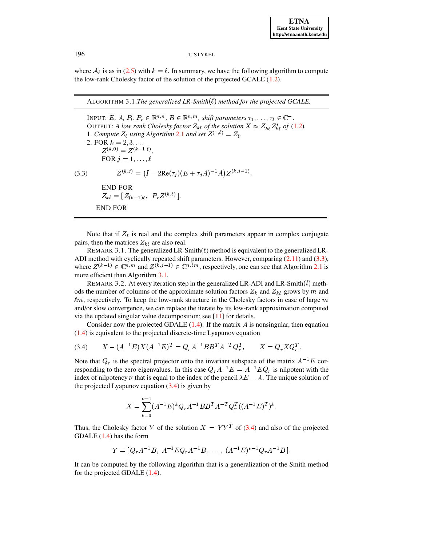where  $A_{\ell}$  is as in (2.5) with  $k = \ell$ . In summary, we have the following algorithm to compute the low-rank Cholesky factor of the solution of the projected GCALE (1.2).

<span id="page-9-1"></span>ALGORITHM 3.1. The generalized LR-Smith $(\ell)$  method for the projected GCALE.

<span id="page-9-0"></span>INPUT: E, A,  $P_l, P_r \in \mathbb{R}^{n,n}$ ,  $B \in \mathbb{R}^{n,m}$ , shift parameters  $\tau_1, \ldots, \tau_\ell \in \mathbb{C}^-$ . OUTPUT: A low rank Cholesky factor  $Z_{k\ell}$  of the solution  $X \approx Z_{k\ell} Z_{k\ell}^*$  of (1.2). 1. Compute  $Z_{\ell}$  using Algorithm 2.1 and set  $Z^{(1,\ell)} = Z_{\ell}$ . 2. FOR  $k = 2, 3, ...$ <br>  $Z^{(k,0)} = Z^{(k-1,\ell)}$ FOR  $j = 1, \ldots, \ell$  $Z^{(k,j)} = (I - 2\text{Re}(\tau_j)(E + \tau_j A)^{-1}A)Z^{(k,j-1)},$  $(3.3)$ **END FOR**  $Z_{k\ell} = [Z_{(k-1)\ell}, P_r Z^{(k,\ell)}].$ **END FOR** 

Note that if  $Z_{\ell}$  is real and the complex shift parameters appear in complex conjugate pairs, then the matrices  $Z_{k\ell}$  are also real.

REMARK 3.1. The generalized LR-Smith( $\ell$ ) method is equivalent to the generalized LR-ADI method with cyclically repeated shift parameters. However, comparing  $(2.11)$  and  $(3.3)$ , where  $Z^{(k-1)} \in \mathbb{C}^{n,m}$  and  $Z^{(\tilde{k},j-1)} \in \mathbb{C}^{n,\ell m}$ , respectively, one can see that Algorithm 2.1 is more efficient than Algorithm 3.1.

REMARK 3.2. At every iteration step in the generalized LR-ADI and LR-Smith $(l)$  methods the number of columns of the approximate solution factors  $Z_k$  and  $Z_{k\ell}$  grows by m and  $\ell$ m, respectively. To keep the low-rank structure in the Cholesky factors in case of large m and/or slow convergence, we can replace the iterate by its low-rank approximation computed via the updated singular value decomposition; see  $[11]$  for details.

Consider now the projected GDALE  $(1.4)$ . If the matrix A is nonsingular, then equation  $(1.4)$  is equivalent to the projected discrete-time Lyapunov equation

$$
(3.4) \qquad X - (A^{-1}E)X(A^{-1}E)^T = Q_r A^{-1}BB^T A^{-T} Q_r^T, \qquad X = Q_r X Q_r^T.
$$

Note that  $Q_r$  is the spectral projector onto the invariant subspace of the matrix  $A^{-1}E$  corresponding to the zero eigenvalues. In this case  $Q_r A^{-1} E = A^{-1} E Q_r$  is nilpotent with the index of nilpotency  $\nu$  that is equal to the index of the pencil  $\lambda E - A$ . The unique solution of the projected Lyapunov equation  $(3.4)$  is given by

<span id="page-9-2"></span>
$$
X = \sum_{k=0}^{\nu-1} (A^{-1}E)^k Q_r A^{-1} B B^T A^{-T} Q_r^T ((A^{-1}E)^T)^k.
$$

Thus, the Cholesky factor Y of the solution  $X = YY^T$  of (3.4) and also of the projected  $GDALE(1.4)$  has the form

$$
Y = [Q_r A^{-1}B, A^{-1}EQ_r A^{-1}B, \ldots, (A^{-1}E)^{\nu-1}Q_r A^{-1}B]
$$

It can be computed by the following algorithm that is a generalization of the Smith method for the projected GDALE  $(1.4)$ .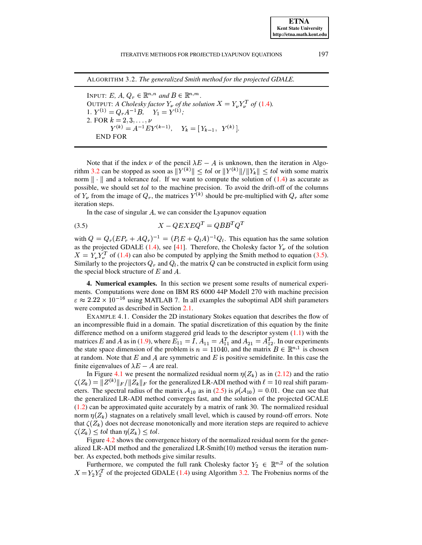<span id="page-10-1"></span>197

ALGORITHM 3.2. The generalized Smith method for the projected GDALE.

INPUT: E, A,  $Q_r \in \mathbb{R}^{n,n}$  and  $B \in \mathbb{R}^{n,m}$ . OUTPUT: A Cholesky factor  $Y_{\nu}$  of the solution  $X = Y_{\nu} Y_{\nu}^T$  of (1.4). 1.  $Y^{(1)} = Q_r A^{-1} B$ ,  $Y_1 = Y^{(1)}$ ; 2. FOR  $k = 2, 3, ..., \nu$ <br>  $Y^{(k)} = A^{-1} E Y^{(k-1)}$ ,  $Y_k = [Y_{k-1}, Y^{(k)}].$ **END FOR** 

Note that if the index  $\nu$  of the pencil  $\lambda E - A$  is unknown, then the iteration in Algorithm 3.2 can be stopped as soon as  $||Y^{(k)}|| \leq tol$  or  $||Y^{(k)}||/||Y_k|| \leq tol$  with some matrix norm  $\|\cdot\|$  and a tolerance *tol*. If we want to compute the solution of (1.4) as accurate as possible, we should set tol to the machine precision. To avoid the drift-off of the columns of  $Y_{\nu}$  from the image of  $Q_{r}$ , the matrices  $Y^{(k)}$  should be pre-multiplied with  $Q_{r}$  after some iteration steps.

<span id="page-10-2"></span>In the case of singular  $A$ , we can consider the Lyapunov equation

$$
(3.5) \t\t X - QEXEQ^T = QBB^TQ^T
$$

with  $Q = Q_r (E P_r + A Q_r)^{-1} = (P_l E + Q_l A)^{-1} Q_l$ . This equation has the same solution as the projected GDALE (1.4), see [41]. Therefore, the Cholesky factor  $Y_{\nu}$  of the solution  $X = Y_u Y_u^T$  of (1.4) can also be computed by applying the Smith method to equation (3.5). Similarly to the projectors  $Q_r$  and  $Q_l$ , the matrix  $Q$  can be constructed in explicit form using the special block structure of  $E$  and  $A$ .

<span id="page-10-0"></span>4. Numerical examples. In this section we present some results of numerical experiments. Computations were done on IBM RS 6000 44P Modell 270 with machine precision  $\varepsilon \approx 2.22 \times 10^{-16}$  using MATLAB 7. In all examples the suboptimal ADI shift parameters were computed as described in Section 2.1.

<span id="page-10-3"></span>EXAMPLE 4.1. Consider the 2D instationary Stokes equation that describes the flow of an incompressible fluid in a domain. The spatial discretization of this equation by the finite difference method on a uniform staggered grid leads to the descriptor system  $(1.1)$  with the matrices E and A as in (1.9), where  $E_{11} = I$ ,  $A_{11} = A_{11}^T$  and  $A_{21} = A_{12}^T$ . In our experiments the state space dimension of the problem is  $n = 11040$ , and the matrix  $B \in \mathbb{R}^{n,1}$  is chosen at random. Note that E and A are symmetric and E is positive semidefinite. In this case the finite eigenvalues of  $\lambda E - A$  are real.

In Figure 4.1 we present the normalized residual norm  $\eta(Z_k)$  as in (2.12) and the ratio  $\zeta(Z_k) = ||Z^{(k)}||_F / ||Z_k||_F$  for the generalized LR-ADI method with  $\ell = 10$  real shift parameters. The spectral radius of the matrix  $A_{10}$  as in (2.5) is  $\rho(A_{10}) = 0.01$ . One can see that the generalized LR-ADI method converges fast, and the solution of the projected GCALE  $(1.2)$  can be approximated quite accurately by a matrix of rank 30. The normalized residual norm  $\eta(Z_k)$  stagnates on a relatively small level, which is caused by round-off errors. Note that  $\zeta(Z_k)$  does not decrease monotonically and more iteration steps are required to achieve  $\zeta(Z_k) \leq tol$  than  $\eta(Z_k) \leq tol$ .

Figure 4.2 shows the convergence history of the normalized residual norm for the generalized LR-ADI method and the generalized LR-Smith $(10)$  method versus the iteration number. As expected, both methods give similar results.

Furthermore, we computed the full rank Cholesky factor  $Y_2 \in \mathbb{R}^{n,2}$  of the solution  $X = Y_2 Y_2^T$  of the projected GDALE (1.4) using Algorithm 3.2. The Frobenius norms of the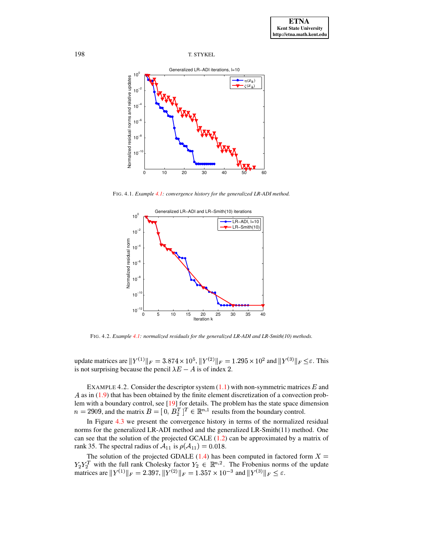

<span id="page-11-0"></span>FIG. 4.1. *Example [4.1:](#page-10-3) convergence history for the generalized LR-ADI method.*



FIG. 4.2. *Example [4.1:](#page-10-3) normalized residuals for the generalized LR-ADI and LR-Smith(10) methods.*

<span id="page-11-1"></span>update matrices are  $||Y^{(1)}||_F = 3.874 \times 10^5$ ,  $||Y^{(2)}||_F = 1.295 \times 10^2$  and  $||Y^{(3)}||_F \le \varepsilon$ . This is not surprising because the pencil  $\lambda E - A$  is of index 2.

<span id="page-11-2"></span>EXAMPLE 4.2. Consider the descriptor system  $(1.1)$  with non-symmetric matrices E and  $A$  as in  $(1.9)$  that has been obtained by the finite element discretization of a convection prob-lem with a boundary control, see [\[19\]](#page-14-14) for details. The problem has the state space dimension  $n = 2909$ , and the matrix  $B = [0, B_2^T]^T \in \mathbb{R}^{n,1}$  results from the boundary control.

In Figure [4.3](#page-12-0) we present the convergence history in terms of the normalized residual norms for the generalized LR-ADI method and the generalized LR-Smith(11) method. One can see that the solution of the projected GCALE  $(1.2)$  can be approximated by a matrix of rank 35. The spectral radius of  $A_{11}$  is  $\rho(A_{11}) = 0.018$ .

The solution of the projected GDALE [\(1.4\)](#page-0-3) has been computed in factored form  $X =$  $Y_2 Y_2^T$  with the full rank Cholesky factor  $Y_2 \in \mathbb{R}^{n,2}$ . The Frobenius norms of the update matrices are  $||Y^{(1)}||_F = 2.397$ ,  $||Y^{(2)}||_F = 1.357 \times 10^{-3}$  and  $||Y^{(3)}||_F \le \varepsilon$ .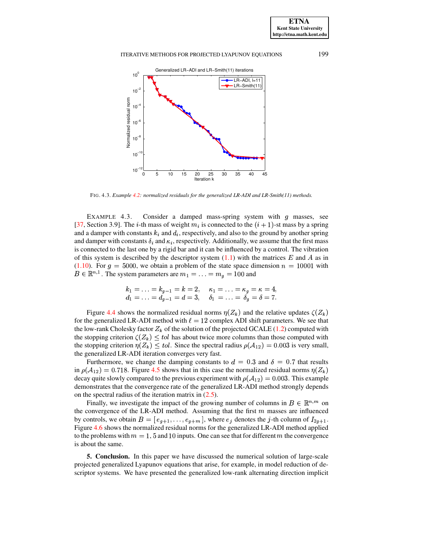

FIG. 4.3. *Example [4.2:](#page-11-2) normalized residuals for the generalized LR-ADI and LR-Smith(11) methods.*

<span id="page-12-1"></span><span id="page-12-0"></span>EXAMPLE 4.3. Consider a damped mass-spring system with  $g$  masses, see [\[37,](#page-15-15) Section 3.9]. The *i*-th mass of weight  $m_i$  is connected to the  $(i + 1)$ -st mass by a spring and a damper with constants  $k_i$  and  $d_i$ , respectively, and also to the ground by another spring and damper with constants  $\delta_i$  and  $\kappa_i$ , respectively. Additionally, we assume that the first mass is connected to the last one by a rigid bar and it can be influenced by a control. The vibration of this system is described by the descriptor system  $(1.1)$  with the matrices E and A as in  $(1.10)$ . For  $g = 5000$ , we obtain a problem of the state space dimension  $n = 10001$  with  $B \in \mathbb{R}^{n,1}$ . The system parameters are  $m_1 = \ldots = m_q = 100$  and

$$
\begin{array}{lllll} k_1=\ldots=k_{g-1}=k=2,\quad \kappa_1=\ldots=\kappa_g=\kappa=4,\\ d_1=\ldots=d_{g-1}=d=3,\quad \delta_1=\ldots=\delta_g=\delta=7.\end{array}
$$

Figure [4.4](#page-13-5) shows the normalized residual norms  $\eta(Z_k)$  and the relative updates  $\zeta(Z_k)$ for the generalized LR-ADI method with  $\ell = 12$  complex ADI shift parameters. We see that the low-rank Cholesky factor  $Z_k$  of the solution of the projected GCALE [\(1.2\)](#page-0-2) computed with the stopping criterion  $\zeta(Z_k) \leq tol$  has about twice more columns than those computed with the stopping criterion  $\eta(Z_k) \leq tol$ . Since the spectral radius  $\rho(A_{12}) = 0.003$  is very small, the generalized LR-ADI iteration converges very fast.

Furthermore, we change the damping constants to  $d = 0.3$  and  $\delta = 0.7$  that results in  $\rho(\mathcal{A}_{12}) = 0.718$ . Figure [4.5](#page-13-6) shows that in this case the normalized residual norms  $\eta(Z_k)$ decay quite slowly compared to the previous experiment with  $\rho(A_{12}) = 0.003$ . This example demonstrates that the convergence rate of the generalized LR-ADI method strongly depends on the spectral radius of the iteration matrix in  $(2.5)$ .

Finally, we investigate the impact of the growing number of columns in  $B \in \mathbb{R}^{n,m}$  on the convergence of the LR-ADI method. Assuming that the first  $m$  masses are influenced by controls, we obtain  $B = [e_{q+1}, \ldots, e_{q+m}]$ , where  $e_j$  denotes the j-th column of  $I_{2q+1}$ . Figure [4.6](#page-14-20) shows the normalized residual norms for the generalized LR-ADI method applied to the problems with  $m = 1, 5$  and 10 inputs. One can see that for different m the convergence is about the same.

**5. Conclusion.** In this paper we have discussed the numerical solution of large-scale projected generalized Lyapunov equations that arise, for example, in model reduction of descriptor systems. We have presented the generalized low-rank alternating direction implicit

**ETNA Kent State University http://etna.math.kent.edu**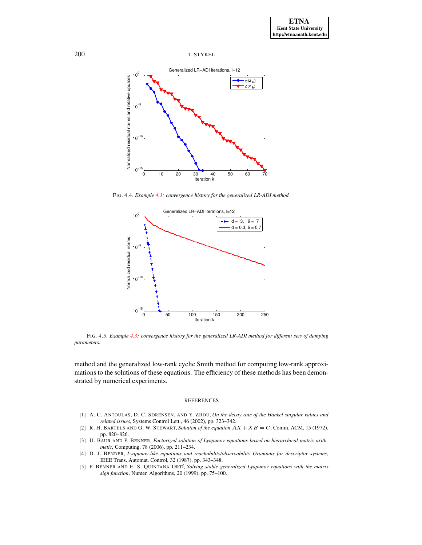

<span id="page-13-5"></span>FIG. 4.4. *Example [4.3:](#page-12-1) convergence history for the generalized LR-ADI method.*



<span id="page-13-6"></span>FIG. 4.5. *Example [4.3:](#page-12-1) convergence history for the generalized LR-ADI method for different sets of damping parameters.*

method and the generalized low-rank cyclic Smith method for computing low-rank approximations to the solutions of these equations. The efficiency of these methods has been demonstrated by numerical experiments.

#### REFERENCES

- <span id="page-13-4"></span>[1] A. C. ANTOULAS, D. C. SORENSEN, AND Y. ZHOU, *On the decay rate of the Hankel singular values and related issues*, Systems Control Lett., 46 (2002), pp. 323–342.
- <span id="page-13-1"></span>[2] R. H. BARTELS AND G. W. STEWART, *Solution of the equation*  $AX + XB = C$ , Comm. ACM, 15 (1972), pp. 820–826.
- <span id="page-13-2"></span>[3] U. BAUR AND P. BENNER, *Factorized solution of Lyapunov equations based on hierarchical matrix arithmetic*, Computing, 78 (2006), pp. 211–234.
- <span id="page-13-0"></span>[4] D. J. BENDER, *Lyapunov-like equations and reachability/observability Gramians for descriptor systems*, IEEE Trans. Automat. Control, 32 (1987), pp. 343–348.
- <span id="page-13-3"></span>[5] P. BENNER AND E. S. QUINTANA-ORT´I, *Solving stable generalized Lyapunov equations with the matrix sign function*, Numer. Algorithms, 20 (1999), pp. 75–100.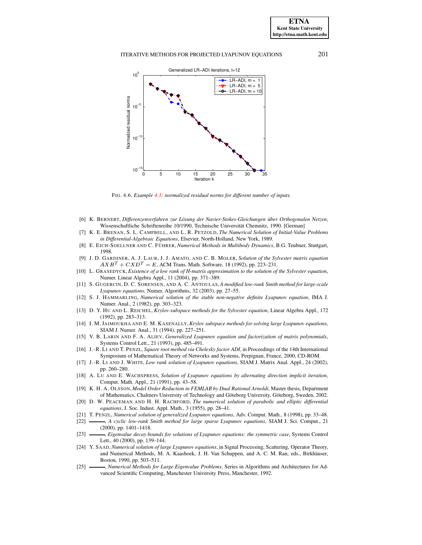### ITERATIVE METHODS FOR PROJECTED LYAPUNOV EQUATIONS 201



FIG. 4.6. *Example [4.3:](#page-12-1) normalized residual norms for different number of inputs.*

- <span id="page-14-20"></span><span id="page-14-0"></span>[6] K. BERNERT, *Differenzenverfahren zur Losung ¨ der Navier-Stokes-Gleichungen uber ¨ Orthogonalen Netzen*, Wissenschaftliche Schriftenreihe 10/1990, Technische Universität Chemnitz, 1990. [German]
- <span id="page-14-1"></span>[7] K. E. BRENAN, S. L. CAMPBELL, AND L. R. PETZOLD, *The Numerical Solution of Initial-Value Problems in Differential-Algebraic Equations*, Elsevier, North-Holland, New York, 1989.
- <span id="page-14-2"></span>[8] E. EICH-SOELLNER AND C. FU¨ HRER, *Numerical Methods in Multibody Dynamics*, B.G. Teubner, Stuttgart, 1998.
- <span id="page-14-10"></span>[9] J. D. GARDINER, A. J. LAUB, J. J. AMATO, AND C. B. MOLER, *Solution of the Sylvester matrix equation*  $AXB^{T} + CXD^{T} = E$ , ACM Trans. Math. Software, 18 (1992), pp. 223–231.
- <span id="page-14-17"></span>[10] L. GRASEDYCK, *Existence of a low rank of H-matrix approximation to the solution of the Sylvester equation*, Numer. Linear Algebra Appl., 11 (2004), pp. 371–389.
- <span id="page-14-19"></span>[11] S. GUGERCIN, D. C. SORENSEN, AND A. C. ANTOULAS,*A modified low-rank Smith method for large-scale Lyapunov equations*, Numer. Algorithms, 32 (2003), pp. 27–55.
- <span id="page-14-3"></span>[12] S. J. HAMMARLING, *Numerical solution of the stable non-negative definite Lyapunov equation*, IMA J. Numer. Anal., 2 (1982), pp. 303–323.
- <span id="page-14-4"></span>[13] D. Y. HU AND L. REICHEL, *Krylov-subspace methods for the Sylvester equation*, Linear Algebra Appl., 172 (1992), pp. 283–313.
- <span id="page-14-5"></span>[14] I. M. JAIMOUKHA AND E. M. KASENALLY,*Krylov subspace methods for solving large Lyapunov equations*, SIAM J. Numer. Anal., 31 (1994), pp. 227–251.
- <span id="page-14-11"></span>[15] V. B. LARIN AND F. A. ALIEV, *Generalized Lyapunov equation and factorization of matrix polynomials*, Systems Control Lett., 21 (1993), pp. 485–491.
- <span id="page-14-12"></span>[16] J.-R. LI AND T. PENZL, *Square root method via Cholesky factor ADI*, in Proceedings of the 14th International Symposium of Mathematical Theory of Networks and Systems, Perpignan, France, 2000, CD-ROM.
- <span id="page-14-6"></span>[17] J.-R. LI AND J. WHITE, *Low rank solution of Lyapunov equations*, SIAM J. Matrix Anal. Appl., 24 (2002), pp. 260–280.
- <span id="page-14-7"></span>[18] A. LU AND E. WACHSPRESS, *Solution of Lyapunov equations by alternating direction implicit iteration*, Comput. Math. Appl., 21 (1991), pp. 43–58.
- <span id="page-14-14"></span>[19] K. H. A. OLSSON, *Model Order Reduction in FEMLAB by Dual Rational Arnoldi*, Master thesis, Department of Mathematics, Chalmers University of Technology and Göteborg University, Göteborg, Sweden, 2002.
- <span id="page-14-15"></span>[20] D. W. PEACEMAN AND H. H. RACHFORD, *The numerical solution of parabolic and elliptic differential equations*, J. Soc. Indust. Appl. Math., 3 (1955), pp. 28–41.
- <span id="page-14-13"></span><span id="page-14-8"></span>[21] T. PENZL, *Numerical solution of generalized Lyapunov equations*, Adv. Comput. Math., 8 (1998), pp. 33–48.
- [22] , *A cyclic low-rank Smith method for large sparse Lyapunov equations*, SIAM J. Sci. Comput., 21 (2000), pp. 1401–1418.
- <span id="page-14-18"></span>[23] , *Eigenvalue decay bounds for solutions of Lyapunov equations: the symmetric case*, Systems Control Lett., 40 (2000), pp. 139–144.
- <span id="page-14-9"></span>[24] Y. SAAD, *Numerical solution of large Lyapunov equations*, in Signal Processing, Scattering, Operator Theory, and Numerical Methods, M. A. Kaashoek, J. H. Van Schuppen, and A. C. M. Ran, eds., Birkhäuser, Boston, 1990, pp. 503–511.
- <span id="page-14-16"></span>[25] , *Numerical Methods for Large Eigenvalue Problems*, Series in Algorithms and Architectures for Advanced Scientific Computing, Manchester University Press, Manchester, 1992.